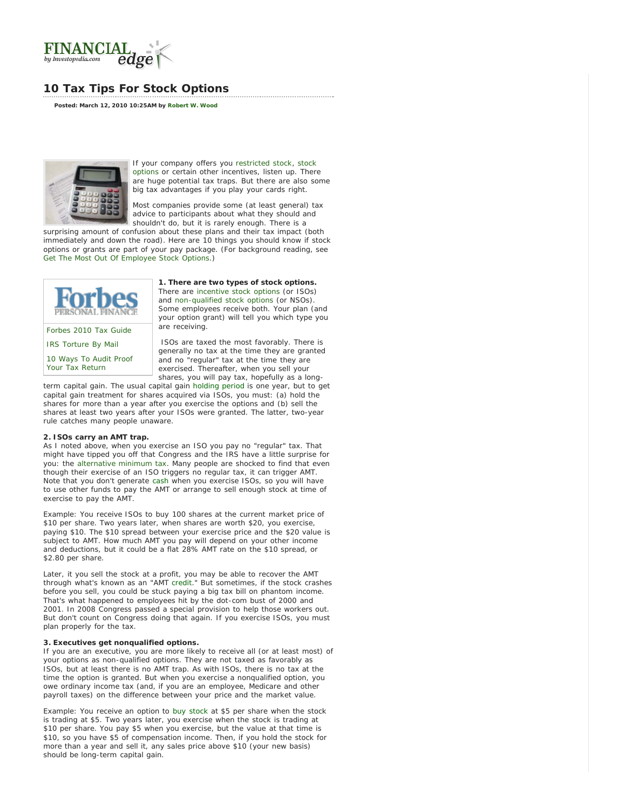<span id="page-0-0"></span>

# **10 Tax Tips For Stock Options**

**Posted: March 12, 2010 10:25AM by [Robert W. Wood](http://www.investopedia.com/contributors/default.aspx?id=394)**



If your company offers you [restricted stock,](http://www.investopedia.com/terms/r/restrictedstock.asp) [stock](http://www.investopedia.com/terms/s/stockoption.asp) [options](http://www.investopedia.com/terms/s/stockoption.asp) or certain other incentives, listen up. There are huge potential tax traps. But there are also some big tax advantages if you play your cards right.

Most companies provide some (at least general) tax advice to participants about what they should and shouldn't do, but it is rarely enough. There is a

surprising amount of confusion about these plans and their tax impact (both immediately and down the road). Here are 10 things you should know if stock options or grants are part of your pay package. (For background reading, see *[Get The Most Out Of Employee Stock Options](http://www.investopedia.com/articles/optioninvestor/07/esoabout.asp)*.)



[Forbes 2010 Tax Guide](http://www.forbes.com/2010/02/16/tax-credits-planning-1040-irs-personal-finance-money-life-tax_land.html)

[IRS Torture By Mail](http://www.forbes.com/forbes/2010/0329/investing-irs-audit-mail-math-error-1099-torture-by-mail.html)

[10 Ways To Audit Proof](http://www.forbes.com/2009/11/03/audit-proof-tax-return-irs-personal-finance-wood.html) [Your Tax Return](http://www.forbes.com/2009/11/03/audit-proof-tax-return-irs-personal-finance-wood.html)

**1. There are two types of stock options.** There are [incentive stock options](http://www.investopedia.com/terms/i/iso.asp) (or ISOs) and [non-qualified stock options](http://www.investopedia.com/terms/n/nso.asp) (or NSOs). Some employees receive both. Your plan (and your option grant) will tell you which type you are receiving.

ISOs are taxed the most favorably. There is generally no tax at the time they are granted and no "regular" tax at the time they are exercised. Thereafter, when you sell your shares, you will pay tax, hopefully as a long-

term capital gain. The usual capital gain [holding period](#page-0-0) is one year, but to get capital gain treatment for shares acquired via ISOs, you must: (a) hold the shares for more than a year after you exercise the options and (b) sell the shares at least two years after your ISOs were granted. The latter, two-year rule catches many people unaware.

#### **2. ISOs carry an AMT trap.**

As I noted above, when you exercise an ISO you pay no "regular" tax. That might have tipped you off that Congress and the IRS have a little surprise for you: the [alternative minimum tax](http://www.investopedia.com/terms/a/alternativeminimumtax.asp). Many people are shocked to find that even though their exercise of an ISO triggers no regular tax, it can trigger AMT. Note that you don't generate [cash](#page-0-0) when you exercise ISOs, so you will have to use other funds to pay the AMT or arrange to sell enough stock at time of exercise to pay the AMT.

Example: You receive ISOs to buy 100 shares at the current market price of \$10 per share. Two years later, when shares are worth \$20, you exercise, paying \$10. The \$10 spread between your exercise price and the \$20 value is subject to AMT. How much AMT you pay will depend on your other income and deductions, but it could be a flat 28% AMT rate on the \$10 spread, or \$2.80 per share.

Later, it you sell the stock at a profit, you may be able to recover the AMT through what's known as an "AMT [credit.](#page-0-0)" But sometimes, if the stock crashes before you sell, you could be stuck paying a big tax bill on phantom income. That's what happened to employees hit by the dot-com bust of 2000 and 2001. In 2008 Congress passed a special provision to help those workers out. But don't count on Congress doing that again. If you exercise ISOs, you must plan properly for the tax.

## **3. Executives get nonqualified options.**

If you are an executive, you are more likely to receive all (or at least most) of your options as non-qualified options. They are not taxed as favorably as ISOs, but at least there is no AMT trap. As with ISOs, there is no tax at the time the option is granted. But when you exercise a nonqualified option, you owe ordinary income tax (and, if you are an employee, Medicare and other payroll taxes) on the difference between your price and the market value.

Example: You receive an option to [buy stock](#page-0-0) at \$5 per share when the stock is trading at \$5. Two years later, you exercise when the stock is trading at \$10 per share. You pay \$5 when you exercise, but the value at that time is \$10, so you have \$5 of compensation income. Then, if you hold the stock for more than a year and sell it, any sales price above \$10 (your new basis) should be long-term capital gain.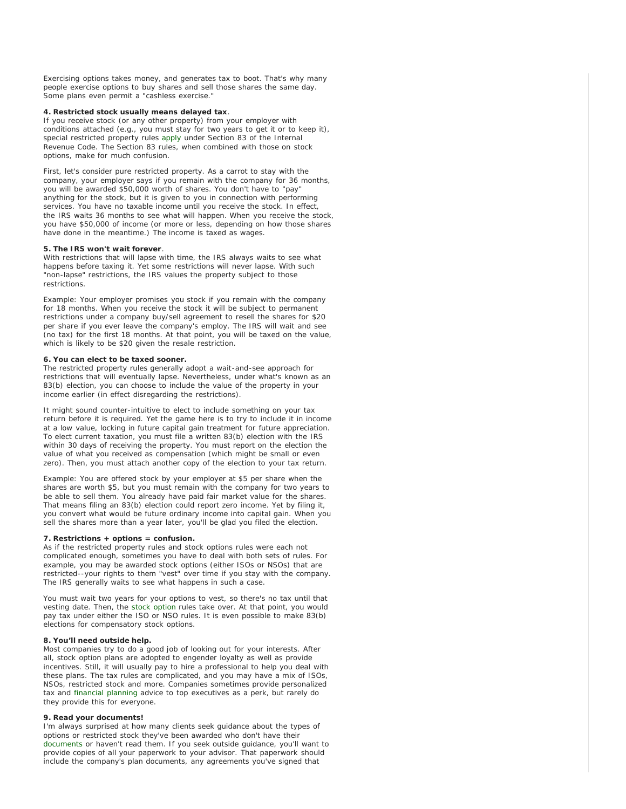Exercising options takes money, and generates tax to boot. That's why many people exercise options to buy shares and sell those shares the same day. Some plans even permit a "cashless exercise."

## **4. Restricted stock usually means delayed tax**.

If you receive stock (or any other property) from your employer with conditions attached (e.g., you must stay for two years to get it or to keep it), special restricted property rules [apply](#page-0-0) under Section 83 of the Internal Revenue Code. The Section 83 rules, when combined with those on stock options, make for much confusion.

First, let's consider pure restricted property. As a carrot to stay with the company, your employer says if you remain with the company for 36 months, you will be awarded \$50,000 worth of shares. You don't have to "pay anything for the stock, but it is given to you in connection with performing services. You have no taxable income until you receive the stock. In effect, the IRS waits 36 months to see what will happen. When you receive the stock, you have \$50,000 of income (or more or less, depending on how those shares have done in the meantime.) The income is taxed as wages.

## **5. The IRS won't wait forever**.

With restrictions that will lapse with time, the IRS always waits to see what happens before taxing it. Yet some restrictions will never lapse. With such "non-lapse" restrictions, the IRS values the property subject to those restrictions.

Example: Your employer promises you stock if you remain with the company for 18 months. When you receive the stock it will be subject to permanent restrictions under a company buy/sell agreement to resell the shares for \$20 per share if you ever leave the company's employ. The IRS will wait and see (no tax) for the first 18 months. At that point, you will be taxed on the value, which is likely to be \$20 given the resale restriction.

## **6. You can elect to be taxed sooner.**

The restricted property rules generally adopt a wait-and-see approach for restrictions that will eventually lapse. Nevertheless, under what's known as an 83(b) election, you can choose to include the value of the property in your income earlier (in effect disregarding the restrictions).

It might sound counter-intuitive to elect to include something on your tax return before it is required. Yet the game here is to try to include it in income at a low value, locking in future capital gain treatment for future appreciation. To elect current taxation, you must file a written 83(b) election with the IRS within 30 days of receiving the property. You must report on the election the value of what you received as compensation (which might be small or even zero). Then, you must attach another copy of the election to your tax return.

Example: You are offered stock by your employer at \$5 per share when the shares are worth \$5, but you must remain with the company for two years to be able to sell them. You already have paid fair market value for the shares. That means filing an 83(b) election could report zero income. Yet by filing it, you convert what would be future ordinary income into capital gain. When you sell the shares more than a year later, you'll be glad you filed the election.

## **7. Restrictions + options = confusion.**

As if the restricted property rules and stock options rules were each not complicated enough, sometimes you have to deal with both sets of rules. For example, you may be awarded stock options (either ISOs or NSOs) that are restricted--your rights to them "vest" over time if you stay with the company. The IRS generally waits to see what happens in such a case.

You must wait two years for your options to vest, so there's no tax until that vesting date. Then, the [stock option](#page-0-0) rules take over. At that point, you would pay tax under either the ISO or NSO rules. It is even possible to make 83(b) elections for compensatory stock options.

#### **8. You'll need outside help.**

Most companies try to do a good job of looking out for your interests. After all, stock option plans are adopted to engender loyalty as well as provide incentives. Still, it will usually pay to hire a professional to help you deal with these plans. The tax rules are complicated, and you may have a mix of ISOs, NSOs, restricted stock and more. Companies sometimes provide personalized tax and [financial planning](#page-0-0) advice to top executives as a perk, but rarely do they provide this for everyone.

#### **9. Read your documents!**

I'm always surprised at how many clients seek guidance about the types of options or restricted stock they've been awarded who don't have their [documents](#page-0-0) or haven't read them. If you seek outside guidance, you'll want to provide copies of all your paperwork to your advisor. That paperwork should include the company's plan documents, any agreements you've signed that